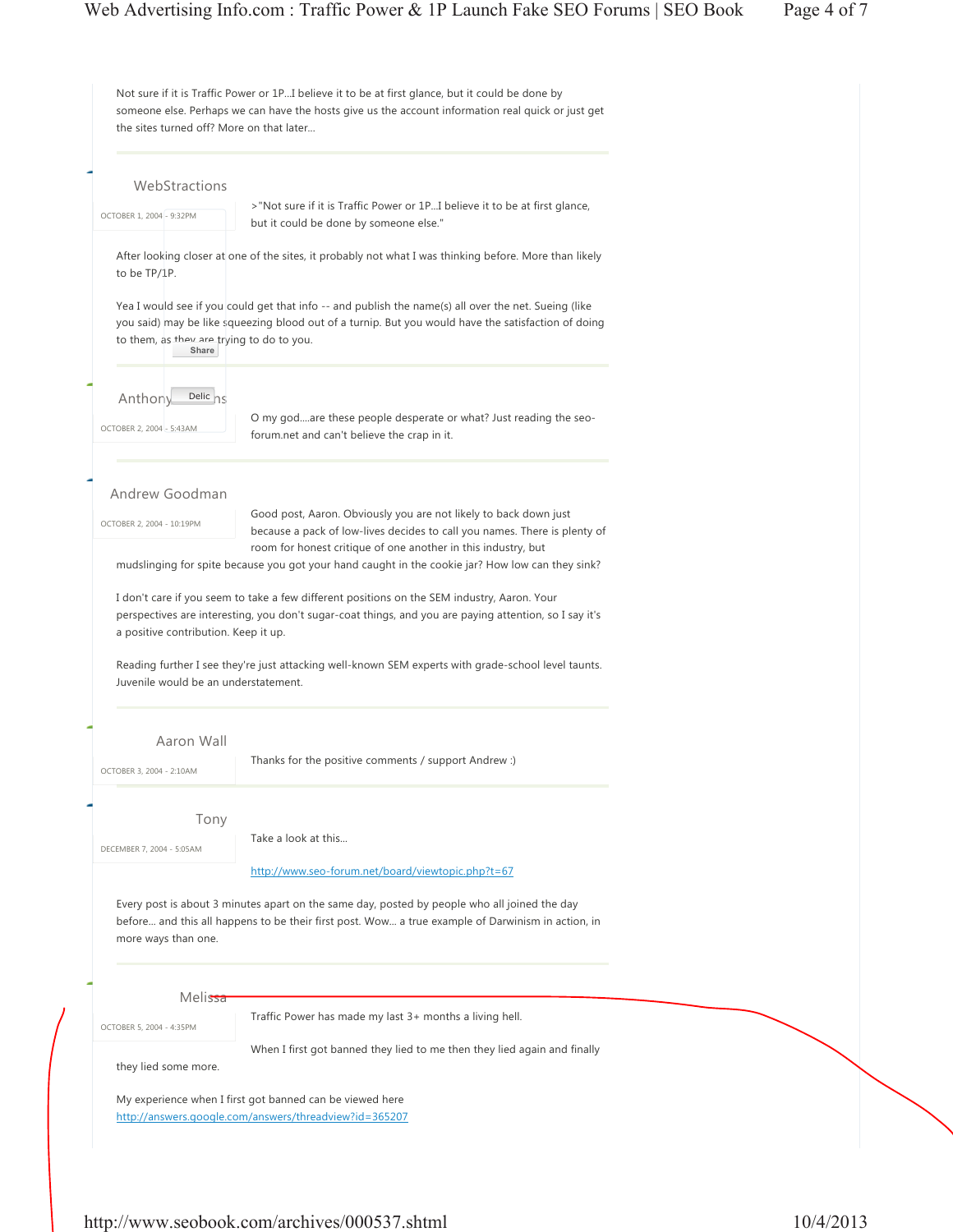| WebStractions                                      |                                                                                                                                                                                                             |  |
|----------------------------------------------------|-------------------------------------------------------------------------------------------------------------------------------------------------------------------------------------------------------------|--|
|                                                    | >"Not sure if it is Traffic Power or 1PI believe it to be at first glance,                                                                                                                                  |  |
| OCTOBER 1, 2004 - 9:32PM                           | but it could be done by someone else."                                                                                                                                                                      |  |
| to be TP/1P.                                       | After looking closer at one of the sites, it probably not what I was thinking before. More than likely                                                                                                      |  |
|                                                    |                                                                                                                                                                                                             |  |
| to them, as they are trying to do to you.<br>Share | Yea I would see if you could get that info -- and publish the name(s) all over the net. Sueing (like<br>you said) may be like squeezing blood out of a turnip. But you would have the satisfaction of doing |  |
|                                                    |                                                                                                                                                                                                             |  |
| Delic <sub>ns</sub><br>Anthony                     |                                                                                                                                                                                                             |  |
|                                                    | O my godare these people desperate or what? Just reading the seo-                                                                                                                                           |  |
| OCTOBER 2, 2004 - 5:43AM                           | forum.net and can't believe the crap in it.                                                                                                                                                                 |  |
|                                                    |                                                                                                                                                                                                             |  |
|                                                    |                                                                                                                                                                                                             |  |
| Andrew Goodman                                     | Good post, Aaron. Obviously you are not likely to back down just                                                                                                                                            |  |
| OCTOBER 2, 2004 - 10:19PM                          | because a pack of low-lives decides to call you names. There is plenty of                                                                                                                                   |  |
|                                                    | room for honest critique of one another in this industry, but                                                                                                                                               |  |
|                                                    | mudslinging for spite because you got your hand caught in the cookie jar? How low can they sink?                                                                                                            |  |
| a positive contribution. Keep it up.               | perspectives are interesting, you don't sugar-coat things, and you are paying attention, so I say it's                                                                                                      |  |
| Juvenile would be an understatement.               | Reading further I see they're just attacking well-known SEM experts with grade-school level taunts.                                                                                                         |  |
| Aaron Wall                                         |                                                                                                                                                                                                             |  |
| OCTOBER 3, 2004 - 2:10AM                           | Thanks for the positive comments / support Andrew :)                                                                                                                                                        |  |
| Tony                                               |                                                                                                                                                                                                             |  |
|                                                    | Take a look at this                                                                                                                                                                                         |  |
| DECEMBER 7, 2004 - 5:05AM                          |                                                                                                                                                                                                             |  |
|                                                    | http://www.seo-forum.net/board/viewtopic.php?t=67                                                                                                                                                           |  |
| more ways than one.                                | Every post is about 3 minutes apart on the same day, posted by people who all joined the day<br>before and this all happens to be their first post. Wow a true example of Darwinism in action, in           |  |
|                                                    |                                                                                                                                                                                                             |  |
| Melissa                                            | Traffic Power has made my last 3+ months a living hell.                                                                                                                                                     |  |
| OCTOBER 5, 2004 - 4:35PM                           |                                                                                                                                                                                                             |  |
| they lied some more.                               | When I first got banned they lied to me then they lied again and finally                                                                                                                                    |  |